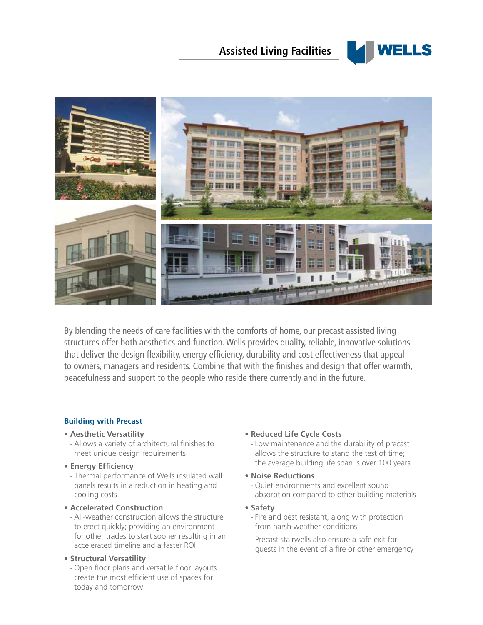## **Assisted Living Facilities**





By blending the needs of care facilities with the comforts of home, our precast assisted living structures offer both aesthetics and function. Wells provides quality, reliable, innovative solutions that deliver the design flexibility, energy efficiency, durability and cost effectiveness that appeal to owners, managers and residents. Combine that with the finishes and design that offer warmth, peacefulness and support to the people who reside there currently and in the future.

## **Building with Precast**

- **Aesthetic Versatility**
- Allows a variety of architectural finishes to meet unique design requirements
- **Energy Efficiency**
- Thermal performance of Wells insulated wall panels results in a reduction in heating and cooling costs
- **Accelerated Construction**
	- All-weather construction allows the structure to erect quickly; providing an environment for other trades to start sooner resulting in an accelerated timeline and a faster ROI
- **Structural Versatility**
	- Open floor plans and versatile floor layouts create the most efficient use of spaces for today and tomorrow
- **Reduced Life Cycle Costs**
	- Low maintenance and the durability of precast allows the structure to stand the test of time; the average building life span is over 100 years
- **Noise Reductions**
	- Quiet environments and excellent sound absorption compared to other building materials
- **Safety**
	- Fire and pest resistant, along with protection from harsh weather conditions
	- Precast stairwells also ensure a safe exit for guests in the event of a fire or other emergency